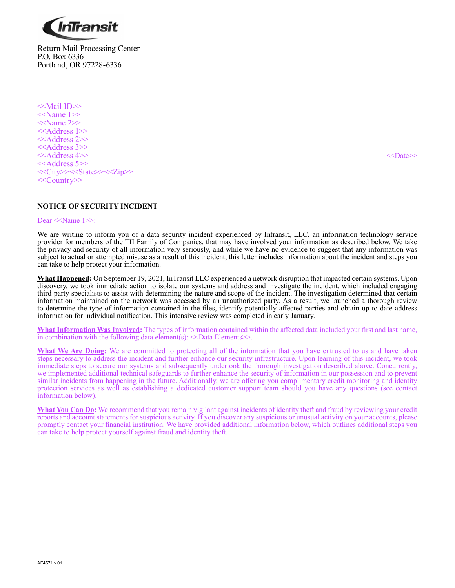

Return Mail Processing Center P.O. Box 6336 Portland, OR 97228-6336

<<Mail ID>> <<Name 1>> <<Name 2>> <<Address 1>> <<Address 2>> <<Address 3>> <<Address 4>> <<>>><<>>>>>><<>><<>><<>
<< <<Address 5>> <<City>><<State>><<Zip>> <<Country>>

# **NOTICE OF SECURITY INCIDENT**

#### Dear <<Name 1>>:

We are writing to inform you of a data security incident experienced by Intransit, LLC, an information technology service provider for members of the TII Family of Companies, that may have involved your information as described below. We take the privacy and security of all information very seriously, and while we have no evidence to suggest that any information was subject to actual or attempted misuse as a result of this incident, this letter includes information about the incident and steps you can take to help protect your information.

**What Happened:** On September 19, 2021, InTransit LLC experienced a network disruption that impacted certain systems. Upon discovery, we took immediate action to isolate our systems and address and investigate the incident, which included engaging third-party specialists to assist with determining the nature and scope of the incident. The investigation determined that certain information maintained on the network was accessed by an unauthorized party. As a result, we launched a thorough review to determine the type of information contained in the files, identify potentially affected parties and obtain up-to-date address information for individual notification. This intensive review was completed in early January.

**What Information Was Involved:** The types of information contained within the affected data included your first and last name, in combination with the following data element(s):  $\leq$ Data Elements $\geq$ .

What We Are Doing: We are committed to protecting all of the information that you have entrusted to us and have taken steps necessary to address the incident and further enhance our security infrastructure. Upon learning of this incident, we took immediate steps to secure our systems and subsequently undertook the thorough investigation described above. Concurrently, we implemented additional technical safeguards to further enhance the security of information in our possession and to prevent similar incidents from happening in the future. Additionally, we are offering you complimentary credit monitoring and identity protection services as well as establishing a dedicated customer support team should you have any questions (see contact information below).

**What You Can Do:** We recommend that you remain vigilant against incidents of identity theft and fraud by reviewing your credit reports and account statements for suspicious activity. If you discover any suspicious or unusual activity on your accounts, please promptly contact your financial institution. We have provided additional information below, which outlines additional steps you can take to help protect yourself against fraud and identity theft.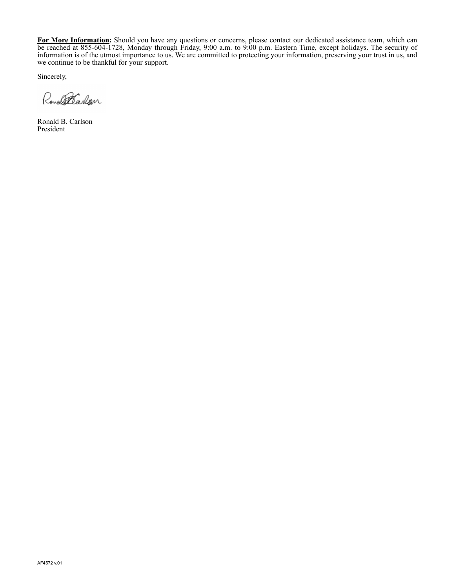**For More Information:** Should you have any questions or concerns, please contact our dedicated assistance team, which can be reached at 855-604-1728, Monday through Friday, 9:00 a.m. to 9:00 p.m. Eastern Time, except holidays. The security of information is of the utmost importance to us. We are committed to protecting your information, preserving your trust in us, and we continue to be thankful for your support.

Sincerely,

Ronald Carlon

Ronald B. Carlson President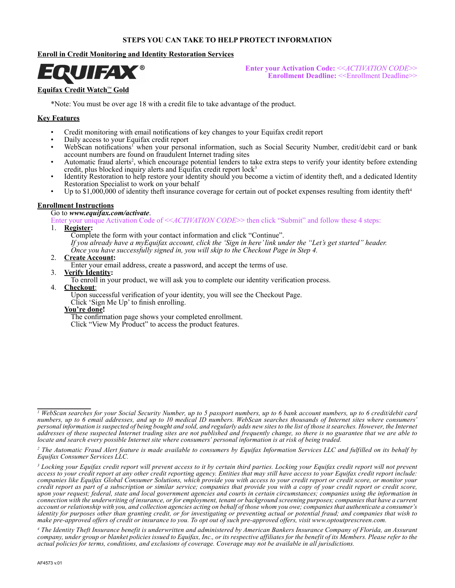### **STEPS YOU CAN TAKE TO HELP PROTECT INFORMATION**

# **Enroll in Credit Monitoring and Identity Restoration Services**



**Enter your Activation Code:** <<*ACTIVATION CODE*>> **Enrollment Deadline:** <<Enrollment Deadline>>

## **Equifax Credit Watch**™ **Gold**

\*Note: You must be over age 18 with a credit file to take advantage of the product.

## **Key Features**

- Credit monitoring with email notifications of key changes to your Equifax credit report
- Daily access to your Equifax credit report
- WebScan notifications<sup>1</sup> when your personal information, such as Social Security Number, credit/debit card or bank account numbers are found on fraudulent Internet trading sites
- Automatic fraud alerts<sup>2</sup>, which encourage potential lenders to take extra steps to verify your identity before extending credit, plus blocked inquiry alerts and Equifax credit report lock<sup>3</sup>
- Identity Restoration to help restore your identity should you become a victim of identity theft, and a dedicated Identity Restoration Specialist to work on your behalf
- Up to \$1,000,000 of identity theft insurance coverage for certain out of pocket expenses resulting from identity theft<sup>4</sup>

### **Enrollment Instructions**

### Go to *www.equifax.com/activate*.

Enter your unique Activation Code of <<*ACTIVATION CODE*>> then click "Submit" and follow these 4 steps:

- 1. **Register:**
	- Complete the form with your contact information and click "Continue".

*If you already have a myEquifax account, click the 'Sign in here' link under the "Let's get started" header. Once you have successfully signed in, you will skip to the Checkout Page in Step 4.*

#### 2. **Create Account:**

Enter your email address, create a password, and accept the terms of use.

- 3. **Verify Identity:**
	- To enroll in your product, we will ask you to complete our identity verification process.
- 4. **Checkout**:

Upon successful verification of your identity, you will see the Checkout Page.

Click 'Sign Me Up' to finish enrolling.

**You're done!**

The confirmation page shows your completed enrollment.

Click "View My Product" to access the product features.

*<sup>1</sup> WebScan searches for your Social Security Number, up to 5 passport numbers, up to 6 bank account numbers, up to 6 credit/debit card numbers, up to 6 email addresses, and up to 10 medical ID numbers. WebScan searches thousands of Internet sites where consumers' personal information is suspected of being bought and sold, and regularly adds new sites to the list of those it searches. However, the Internet addresses of these suspected Internet trading sites are not published and frequently change, so there is no guarantee that we are able to locate and search every possible Internet site where consumers' personal information is at risk of being traded.*

*<sup>2</sup> The Automatic Fraud Alert feature is made available to consumers by Equifax Information Services LLC and fulfilled on its behalf by Equifax Consumer Services LLC.*

<sup>&</sup>lt;sup>3</sup> Locking your Equifax credit report will prevent access to it by certain third parties. Locking your Equifax credit report will not prevent *access to your credit report at any other credit reporting agency. Entities that may still have access to your Equifax credit report include: companies like Equifax Global Consumer Solutions, which provide you with access to your credit report or credit score, or monitor your credit report as part of a subscription or similar service; companies that provide you with a copy of your credit report or credit score, upon your request; federal, state and local government agencies and courts in certain circumstances; companies using the information in connection with the underwriting of insurance, or for employment, tenant or background screening purposes; companies that have a current account or relationship with you, and collection agencies acting on behalf of those whom you owe; companies that authenticate a consumer's identity for purposes other than granting credit, or for investigating or preventing actual or potential fraud; and companies that wish to make pre-approved offers of credit or insurance to you. To opt out of such pre-approved offers, visit www.optoutprescreen.com.*

*<sup>4</sup> The Identity Theft Insurance benefit is underwritten and administered by American Bankers Insurance Company of Florida, an Assurant company, under group or blanket policies issued to Equifax, Inc., or its respective affiliates for the benefit of its Members. Please refer to the actual policies for terms, conditions, and exclusions of coverage. Coverage may not be available in all jurisdictions.*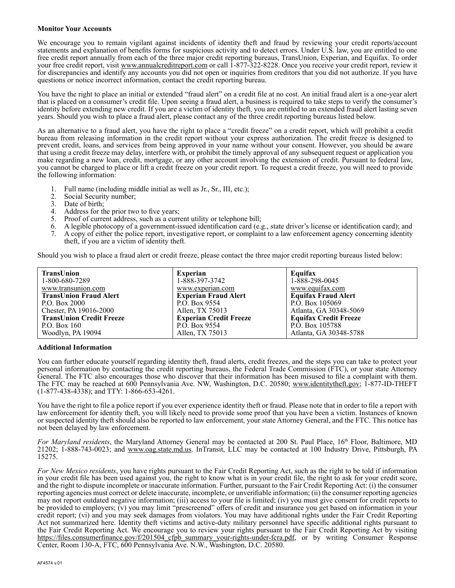### **Monitor Your Accounts**

We encourage you to remain vigilant against incidents of identity theft and fraud by reviewing your credit reports/account statements and explanation of benefits forms for suspicious activity and to detect errors. Under U.S. law, you are entitled to one free credit report annually from each of the three major credit reporting bureaus, TransUnion, Experian, and Equifax. To order your free credit report, visit www.annualcreditreport.com or call 1-877-322-8228. Once you receive your credit report, review it for discrepancies and identify any accounts you did not open or inquiries from creditors that you did not authorize. If you have questions or notice incorrect information, contact the credit reporting bureau.

You have the right to place an initial or extended "fraud alert" on a credit file at no cost. An initial fraud alert is a one-year alert that is placed on a consumer's credit file. Upon seeing a fraud alert, a business is required to take steps to verify the consumer's identity before extending new credit. If you are a victim of identity theft, you are entitled to an extended fraud alert lasting seven years. Should you wish to place a fraud alert, please contact any of the three credit reporting bureaus listed below.

As an alternative to a fraud alert, you have the right to place a "credit freeze" on a credit report, which will prohibit a credit bureau from releasing information in the credit report without your express authorization. The credit freeze is designed to prevent credit, loans, and services from being approved in your name without your consent. However, you should be aware that using a credit freeze may delay, interfere with, or prohibit the timely approval of any subsequent request or application you make regarding a new loan, credit, mortgage, or any other account involving the extension of credit. Pursuant to federal law, you cannot be charged to place or lift a credit freeze on your credit report. To request a credit freeze, you will need to provide the following information:

- 1. Full name (including middle initial as well as Jr., Sr., III, etc.);<br>2. Social Security number;
- Social Security number;
- 3. Date of birth;
- Address for the prior two to five years;
- 5. Proof of current address, such as a current utility or telephone bill;
- 6. A legible photocopy of a government-issued identification card (e.g., state driver's license or identification card); and
- 7. A copy of either the police report, investigative report, or complaint to a law enforcement agency concerning identity theft, if you are a victim of identity theft.

Should you wish to place a fraud alert or credit freeze, please contact the three major credit reporting bureaus listed below:

| TransUnion                      | <b>Experian</b>               | Equifax                      |
|---------------------------------|-------------------------------|------------------------------|
| 1-800-680-7289                  | 1-888-397-3742                | 1-888-298-0045               |
| www.transunion.com              | www.experian.com              | www.equifax.com              |
| <b>TransUnion Fraud Alert</b>   | <b>Experian Fraud Alert</b>   | <b>Equifax Fraud Alert</b>   |
| P.O. Box 2000                   | P.O. Box 9554                 | P.O. Box 105069              |
| Chester, PA 19016-2000          | Allen. TX 75013               | Atlanta, GA 30348-5069       |
| <b>TransUnion Credit Freeze</b> | <b>Experian Credit Freeze</b> | <b>Equifax Credit Freeze</b> |
| P.O. Box $160$                  | P.O. Box 9554                 | P.O. Box 105788              |
| Woodlyn, PA 19094               | Allen, TX 75013               | Atlanta, GA 30348-5788       |

#### **Additional Information**

You can further educate yourself regarding identity theft, fraud alerts, credit freezes, and the steps you can take to protect your personal information by contacting the credit reporting bureaus, the Federal Trade Commission (FTC), or your state Attorney General. The FTC also encourages those who discover that their information has been misused to file a complaint with them. The FTC may be reached at 600 Pennsylvania Ave. NW, Washington, D.C. 20580; www.identitytheft.gov; 1-877-ID-THEFT (1-877-438-4338); and TTY: 1-866-653-4261.

You have the right to file a police report if you ever experience identity theft or fraud. Please note that in order to file a report with law enforcement for identity theft, you will likely need to provide some proof that you have been a victim. Instances of known or suspected identity theft should also be reported to law enforcement, your state Attorney General, and the FTC. This notice has not been delayed by law enforcement.

*For Maryland residents*, the Maryland Attorney General may be contacted at 200 St. Paul Place, 16<sup>th</sup> Floor, Baltimore, MD 21202; 1-888-743-0023; and www.oag.state.md.us. InTransit, LLC may be contacted at 100 Industry Drive, Pittsburgh, PA 15275.

*For New Mexico residents*, you have rights pursuant to the Fair Credit Reporting Act, such as the right to be told if information in your credit file has been used against you, the right to know what is in your credit file, the right to ask for your credit score, and the right to dispute incomplete or inaccurate information. Further, pursuant to the Fair Credit Reporting Act: (i) the consumer reporting agencies must correct or delete inaccurate, incomplete, or unverifiable information; (ii) the consumer reporting agencies may not report outdated negative information; (iii) access to your file is limited; (iv) you must give consent for credit reports to be provided to employers; (v) you may limit "prescreened" offers of credit and insurance you get based on information in your credit report; (vi) and you may seek damages from violators. You may have additional rights under the Fair Credit Reporting Act not summarized here. Identity theft victims and active-duty military personnel have specific additional rights pursuant to the Fair Credit Reporting Act. We encourage you to review your rights pursuant to the Fair Credit Reporting Act by visiting https://files.consumerfinance.gov/f/201504 cfpb summary your-rights-under-fcra.pdf, or by writing Consumer Response Center, Room 130-A, FTC, 600 Pennsylvania Ave. N.W., Washington, D.C. 20580.